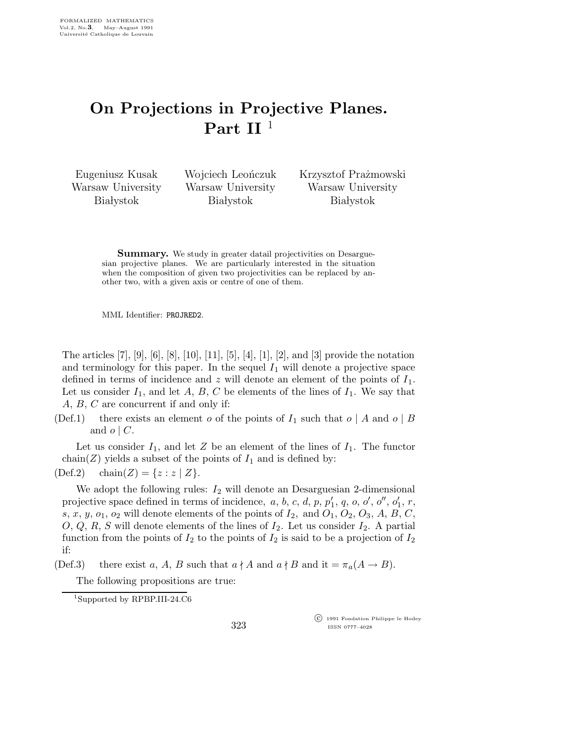## On Projections in Projective Planes. Part II<sup>1</sup>

Eugeniusz Kusak Warsaw University **Białystok** 

Wojciech Leończuk Warsaw University **Białystok** 

Krzysztof Prażmowski Warsaw University **Białystok** 

**Summary.** We study in greater datail projectivities on Desarguesian projective planes. We are particularly interested in the situation when the composition of given two projectivities can be replaced by another two, with a given axis or centre of one of them.

MML Identifier: PROJRED2.

The articles  $[7]$ ,  $[9]$ ,  $[6]$ ,  $[8]$ ,  $[10]$ ,  $[11]$ ,  $[5]$ ,  $[4]$ ,  $[1]$ ,  $[2]$ , and  $[3]$  provide the notation and terminology for this paper. In the sequel  $I_1$  will denote a projective space defined in terms of incidence and z will denote an element of the points of  $I_1$ . Let us consider  $I_1$ , and let A, B, C be elements of the lines of  $I_1$ . We say that A, B, C are concurrent if and only if:

(Def.1) there exists an element o of the points of  $I_1$  such that  $o \mid A$  and  $o \mid B$ and  $o \mid C$ .

Let us consider  $I_1$ , and let Z be an element of the lines of  $I_1$ . The functor chain(Z) yields a subset of the points of  $I_1$  and is defined by:

(Def.2) chain(Z) = { $z : z | Z$  }.

We adopt the following rules:  $I_2$  will denote an Desarguesian 2-dimensional projective space defined in terms of incidence,  $a, b, c, d, p, p_1'$  $'_{1}, q, o, o', o'', o'_{1}$  $'_{1}, r,$ s, x, y,  $o_1$ ,  $o_2$  will denote elements of the points of  $I_2$ , and  $O_1$ ,  $O_2$ ,  $O_3$ , A, B, C,  $O, Q, R, S$  will denote elements of the lines of  $I_2$ . Let us consider  $I_2$ . A partial function from the points of  $I_2$  to the points of  $I_2$  is said to be a projection of  $I_2$ if:

(Def.3) there exist a, A, B such that  $a \nmid A$  and  $a \nmid B$  and it  $=\pi_a(A \rightarrow B)$ .

The following propositions are true:

323

 c 1991 Fondation Philippe le Hodey ISSN 0777–4028

<sup>1</sup>Supported by RPBP.III-24.C6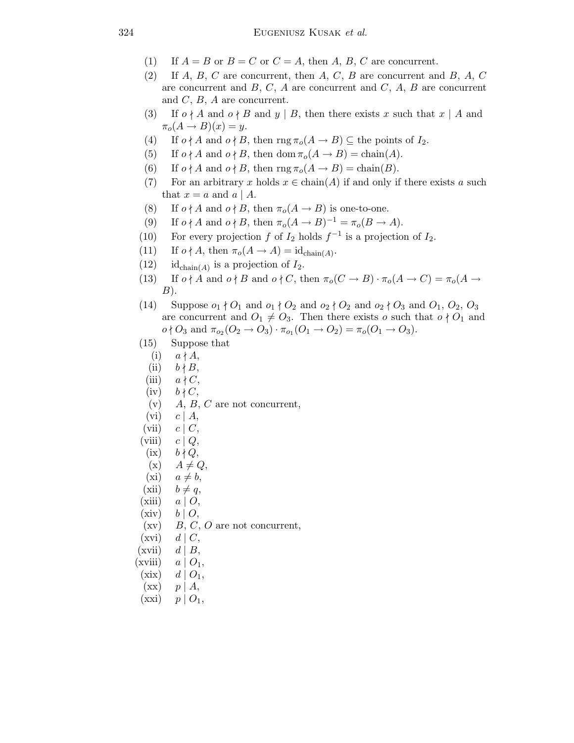- (1) If  $A = B$  or  $B = C$  or  $C = A$ , then A, B, C are concurrent.
- (2) If  $A, B, C$  are concurrent, then  $A, C, B$  are concurrent and  $B, A, C$ are concurrent and  $B, C, A$  are concurrent and  $C, A, B$  are concurrent and  $C, B, A$  are concurrent.
- (3) If  $o \nmid A$  and  $o \nmid B$  and  $y \mid B$ , then there exists x such that  $x \mid A$  and  $\pi_o(A \rightarrow B)(x) = y.$
- (4) If  $o \nmid A$  and  $o \nmid B$ , then  $\text{rng } \pi_o(A \rightarrow B) \subseteq$  the points of  $I_2$ .
- (5) If  $o \nmid A$  and  $o \nmid B$ , then dom  $\pi_o(A \rightarrow B) = \text{chain}(A)$ .
- (6) If  $o \nmid A$  and  $o \nmid B$ , then  $\text{rng } \pi_o(A \to B) = \text{chain}(B)$ .
- (7) For an arbitrary x holds  $x \in \text{chain}(A)$  if and only if there exists a such that  $x = a$  and  $a \mid A$ .
- (8) If  $o \nmid A$  and  $o \nmid B$ , then  $\pi_o(A \rightarrow B)$  is one-to-one.
- (9) If  $o \nmid A$  and  $o \nmid B$ , then  $\pi_o(A \to B)^{-1} = \pi_o(B \to A)$ .
- (10) For every projection f of  $I_2$  holds  $f^{-1}$  is a projection of  $I_2$ .
- (11) If  $o \nmid A$ , then  $\pi_o(A \to A) = \mathrm{id}_{\text{chain}(A)}$ .
- (12) id<sub>chain</sub>(A) is a projection of  $I_2$ .
- (13) If  $o \nmid A$  and  $o \nmid B$  and  $o \nmid C$ , then  $\pi_o(C \to B) \cdot \pi_o(A \to C) = \pi_o(A \to C)$  $B)$ .
- (14) Suppose  $o_1 \nmid O_1$  and  $o_1 \nmid O_2$  and  $o_2 \nmid O_2$  and  $o_2 \nmid O_3$  and  $O_1$ ,  $O_2$ ,  $O_3$ are concurrent and  $O_1 \neq O_3$ . Then there exists o such that  $o \nmid O_1$  and  $o \nmid O_3$  and  $\pi_{o_2}(O_2 \to O_3) \cdot \pi_{o_1}(O_1 \to O_2) = \pi_o(O_1 \to O_3).$
- (15) Suppose that
	- $(i)$   $a \nmid A$ ,
	- (ii)  $b \nmid B$ ,
- (iii)  $a \nmid C$ ,
- $(iv)$   $b \nmid C$ ,
- (v)  $A, B, C$  are not concurrent,
- $(vi)$   $c | A$ ,
- $(vii)$   $c \mid C$ ,
- (viii)  $c \mid Q$ ,
- $(ix)$   $b \nmid Q$ ,
- $(x)$   $A \neq Q$ ,
- $(xi)$   $a \neq b$ ,
- (xii)  $b \neq q$ ,
- $(xiii)$   $a | O,$
- 
- $(xiv)$   $b | O,$
- $(xv)$  B, C, O are not concurrent,
- $(xvi)$  d | C,
- $(xvii)$   $d | B$ ,
- $(xviii)$   $a | O_1$ ,
- $(xix)$   $d | O_1$ ,
- $(xx)$   $p \mid A$ ,
- $(xxi)$   $p | O_1$ ,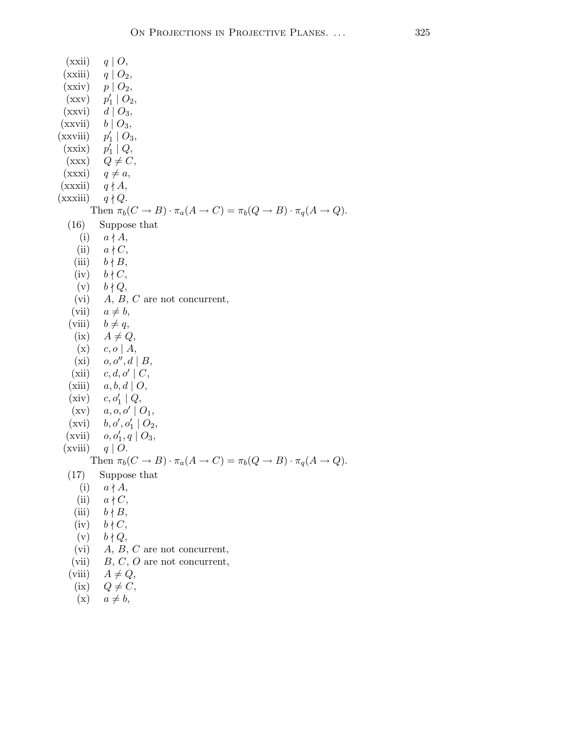$(xxii)$  q | O, (xxiii)  $q \mid O_2$ ,  $(xxiv)$   $p | O_2$ ,  $(xxy)$ ′  $\frac{1}{1} | O_2,$  $(x x v i)$   $d | O_3$ ,  $(xxvii)$   $b | O_3,$  $(xxviii)$ ′  $_1' | O_3,$  $(xxix)$ ′  $_1' | Q,$  $(xxx)$   $Q \neq C$ ,  $(xxxi)$   $q \neq a$ ,  $(xxxii)$  q  $\nmid A$ ,  $(xxxiii)$   $q \nmid Q$ . Then  $\pi_b(C \to B) \cdot \pi_a(A \to C) = \pi_b(Q \to B) \cdot \pi_q(A \to Q)$ . (16) Suppose that (i)  $a \nmid A$ , (ii)  $a \nmid C$ , (iii)  $b \nmid B$ ,  $(iv)$   $b \nmid C$ ,  $(v)$   $b \nmid Q$ , (vi)  $A, B, C$  are not concurrent, (vii)  $a \neq b$ , (viii)  $b \neq q$ ,  $(ix)$   $A \neq Q$ ,  $(x)$   $c, o \mid A$ ,  $(xi)$   $o, o'', d \mid B$ ,  $(xii)$   $c, d, o' \mid C$ , (xiii)  $a, b, d \mid O$ ,  $(xiv)$  $_1' | Q,$  $(\mathrm{xv})$   $a, o, o' \mid O_1,$  $(xvi)$   $b, o', o'_1 | O_2$ ,  $(xvi)$ <br> $(xvii)$  $'_{1},q\mid O_{3},$ (xviii)  $q \mid O$ . Then  $\pi_b(C \to B) \cdot \pi_a(A \to C) = \pi_b(Q \to B) \cdot \pi_a(A \to Q)$ . (17) Suppose that (i)  $a \nmid A$ , (ii)  $a \nmid C$ , (iii)  $b \nmid B$ ,  $(iv)$   $b \nmid C$ ,  $(v)$   $b \nmid Q$ , (vi)  $A, B, C$  are not concurrent, (vii)  $B, C, O$  are not concurrent, (viii)  $A \neq Q$ , (ix)  $Q \neq C$ ,

 $(x)$   $a \neq b$ ,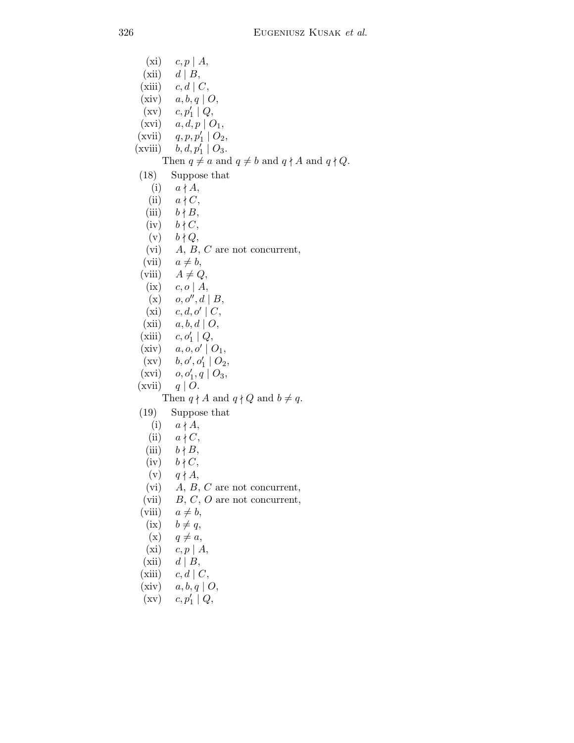$(xi)$   $c, p | A,$  $(xii)$  d | B, (xiii)  $c, d \mid C$ , (xiv)  $a, b, q \mid O$ ,  $(\mathrm{xv})$   $c, p'_1 \mid Q,$  $(xvi)$   $a, d, p \mid O_1$ ,  $(xvii)$  q, p,  $p'_1 | O_2$ , (xvii)<br>(xviii)  $\frac{1}{1} \mid O_3.$ Then  $q \neq a$  and  $q \neq b$  and  $q \nmid A$  and  $q \nmid Q$ . (18) Suppose that (i)  $a \nmid A$ , (ii)  $a \nmid C$ , (iii)  $b \nmid B$ ,  $(iv)$   $b \nmid C$ ,  $(v)$   $b \nmid Q$ , (vi)  $A, B, C$  are not concurrent, (vii)  $a \neq b$ , (viii)  $A \neq Q$ , (ix)  $c, o \mid A$ , (x)  $o, o'', d | B$ ,  $(xi)$   $c, d, o' \mid C$ , (xii)  $a, b, d \mid O$ ,  $(xiii)$  $_1' | Q,$  $(xiv)$   $a, o, o' \mid O_1$ ,  $(\mathrm{xv})$   $b, o', o'_1 \mid O_2,$  $\begin{pmatrix} xy \\ xvi \end{pmatrix}$  $'_{1},q\mid O_{3},$ (xvii)  $q \mid O$ . Then  $q \nmid A$  and  $q \nmid Q$  and  $b \neq q$ . (19) Suppose that (i)  $a \nmid A$ , (ii)  $a \nmid C$ , (iii)  $b \nmid B$ ,  $(iv)$   $b \nmid C$ ,  $(v)$   $q \nmid A$ , (vi)  $A, B, C$  are not concurrent, (vii)  $B, C, O$  are not concurrent, (viii)  $a \neq b$ ,

- $(ix)$   $b \neq q$ ,
- $(x)$   $q \neq a$ ,
- $(xi)$   $c, p \mid A$ ,
- $(xii)$  d | B,
- (xiii)  $c, d \mid C$ ,
- (xiv)  $a, b, q \mid O$ ,
- $(\mathrm{xv})$   $c, p'_1 \mid Q,$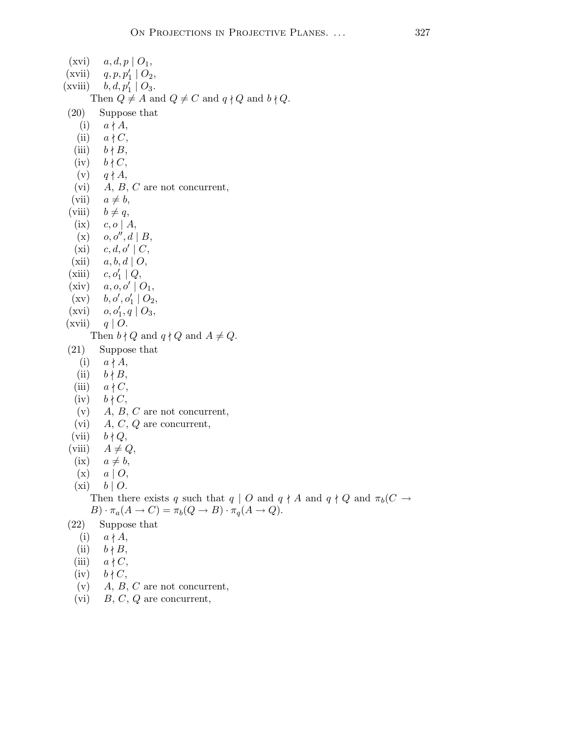|      | $(xvi)$ $a, d, p \mid O_1$ ,                                                                                            |
|------|-------------------------------------------------------------------------------------------------------------------------|
|      | (xvii) $q, p, p'_1 \mid O_2$ ,                                                                                          |
|      | (xviii) $b, d, p'_1 \mid O_3$ .                                                                                         |
|      | Then $Q \neq A$ and $Q \neq C$ and $q \nmid Q$ and $b \nmid Q$ .                                                        |
| (20) | Suppose that                                                                                                            |
|      | (i) $a \nmid A$ ,                                                                                                       |
|      | (ii) $a \nmid C$ ,                                                                                                      |
|      | (iii) $b \nmid B$ ,                                                                                                     |
|      | $(iv)$ $b \nmid C$ ,                                                                                                    |
|      | $(v)$ $q \nmid A$ ,                                                                                                     |
|      | (vi) $\overrightarrow{A}$ , $\overrightarrow{B}$ , $C$ are not concurrent,<br>(vii) $a \neq b$ ,<br>(viii) $b \neq q$ , |
|      |                                                                                                                         |
|      |                                                                                                                         |
|      | (ix) $c, o \mid A$ ,                                                                                                    |
|      | $(x)$ $o, o'', d \mid B$                                                                                                |
|      | $\begin{array}{cc} \mbox{(xi)} & c,d,o'\mid C,\\ \mbox{(xii)} & a,b,d\mid O, \end{array}$                               |
|      |                                                                                                                         |
|      | (xiii) $c, o'_1   Q$ ,                                                                                                  |
|      | (xiv) $a, o, o' \mid O_1$ ,                                                                                             |
|      | $(xv)$ $b, o', o'_1   O_2,$                                                                                             |
|      | (xvi) $o, o'_1, q \mid O_3$ ,                                                                                           |
|      | (xvii) $q \mid O$ .                                                                                                     |
|      | Then $b \nmid Q$ and $q \nmid Q$ and $A \neq Q$ .                                                                       |
|      | $(21)$ Suppose that                                                                                                     |
|      | (i) $a \nmid A$ ,                                                                                                       |
|      | (ii) $b \nmid B$ ,                                                                                                      |
|      | (iii) $a \nmid C$ ,                                                                                                     |
|      | $(iv)$ $b \nmid C$ ,                                                                                                    |
|      | (v) $A, B, C$ are not concurrent,                                                                                       |
|      | (vi) $\vec{A}, \vec{C}, \vec{Q}$ are concurrent,<br>(vii) $\vec{b} \nmid \vec{Q}$ ,                                     |
|      | (viii) $A \neq Q$ ,                                                                                                     |
|      | $(ix)$ $a \neq b$ ,                                                                                                     |
|      | $(x)$ $a \mid O,$                                                                                                       |
|      | $(xi)$ $b \mid O.$                                                                                                      |
|      | Then there exists q such that $q \mid O$ and $q \nmid A$ and $q \nmid Q$ and $\pi_b(C \rightarrow$                      |
|      | $B) \cdot \pi_a(A \to C) = \pi_b(Q \to B) \cdot \pi_q(A \to Q).$                                                        |
| (22) | Suppose that                                                                                                            |
| (i)  | $a \nmid A$                                                                                                             |
| (ii) | $b \nmid B$                                                                                                             |
|      |                                                                                                                         |

- (iii)  $a \nmid C$ ,
- (iv)  $b \nmid C$ ,
- (v)  $A, B, C$  are not concurrent,
- (vi)  $B, C, Q$  are concurrent,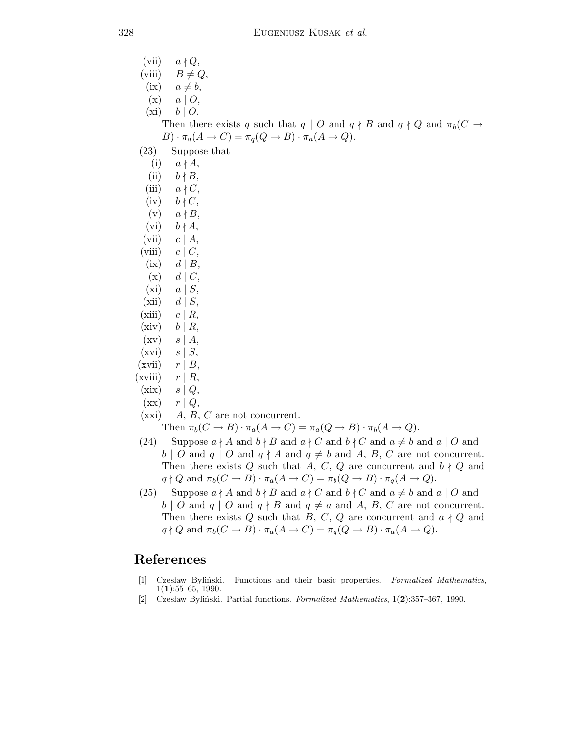(vii)  $a \nmid Q$ , (viii)  $B \neq Q$ ,  $(ix)$   $a \neq b,$  $(x)$   $a \mid O$ ,  $(xi)$   $b \mid O.$ Then there exists q such that  $q | O$  and  $q \nmid B$  and  $q \nmid Q$  and  $\pi_b(C \rightarrow$  $B) \cdot \pi_a(A \to C) = \pi_q(Q \to B) \cdot \pi_a(A \to Q).$ (23) Suppose that  $(i)$   $a \nmid A$ ,  $(ii)$   $b \nmid B$ , (iii)  $a \nmid C$ ,  $(iv)$   $b \nmid C$ ,  $(v)$   $a \nmid B$ ,  $(vi)$   $b \nmid A$ ,  $(vii)$   $c | A$ , (viii)  $c \mid C$ ,  $(ix)$  d | B,  $(x)$  d  $|C,$  $(xi)$   $a \mid S$ ,  $(xii)$  d | S,  $(xiii)$   $c | R$ ,  $(xiv)$   $b | R$ ,  $(xv)$  s | A,  $(xvi)$  s  $|S,$  $(xvii)$   $r | B$ ,  $(xviii)$   $r | R$ ,  $(xix)$   $s | Q$ ,  $(xx)$   $r | Q$ ,  $(xxi)$  A, B, C are not concurrent. Then  $\pi_b(C \to B) \cdot \pi_a(A \to C) = \pi_a(Q \to B) \cdot \pi_b(A \to Q)$ . (24) Suppose  $a \nmid A$  and  $b \nmid B$  and  $a \nmid C$  and  $b \nmid C$  and  $a \neq b$  and  $a \mid O$  and

- $b \mid O$  and  $q \mid O$  and  $q \nmid A$  and  $q \neq b$  and  $A, B, C$  are not concurrent. Then there exists Q such that A, C, Q are concurrent and  $b \nmid Q$  and  $q \nmid Q$  and  $\pi_b(C \to B) \cdot \pi_a(A \to C) = \pi_b(Q \to B) \cdot \pi_q(A \to Q)$ .
- (25) Suppose  $a \nmid A$  and  $b \nmid B$  and  $a \nmid C$  and  $b \nmid C$  and  $a \neq b$  and  $a \mid O$  and  $b \mid O$  and  $q \mid O$  and  $q \nmid B$  and  $q \neq a$  and A, B, C are not concurrent. Then there exists Q such that B, C, Q are concurrent and  $a \nmid Q$  and  $q \nmid Q$  and  $\pi_b(C \to B) \cdot \pi_a(A \to C) = \pi_q(Q \to B) \cdot \pi_a(A \to Q)$ .

## References

- [1] Czesław Byliński. Functions and their basic properties. Formalized Mathematics,  $1(1):55-65, 1990.$
- [2] Czesław Byliński. Partial functions. Formalized Mathematics,  $1(2):357-367$ , 1990.